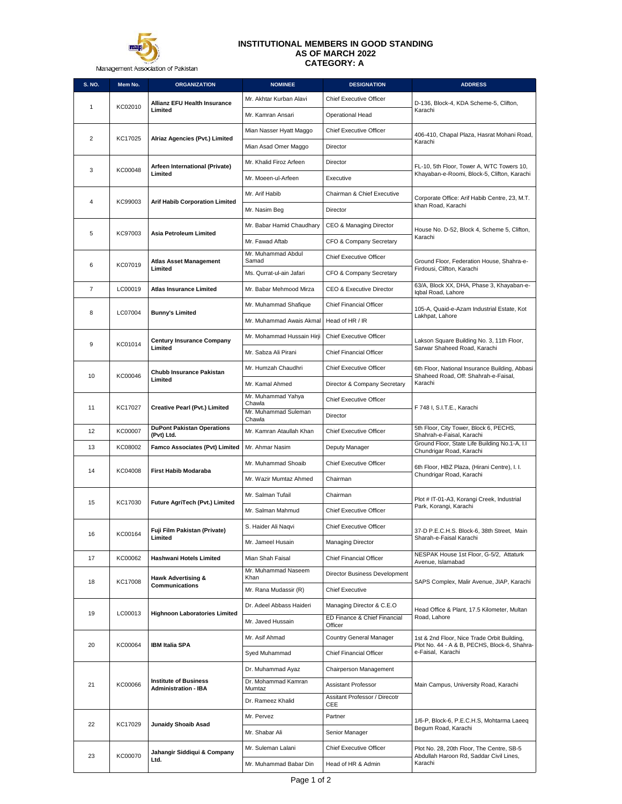

Management Association of Pakistan

## **INSTITUTIONAL MEMBERS IN GOOD STANDING AS OF MARCH 2022 CATEGORY: A**

| <b>S. NO.</b>  | Mem No. | <b>ORGANIZATION</b>                                         | <b>NOMINEE</b>                          | <b>DESIGNATION</b>                      | <b>ADDRESS</b>                                                                              |
|----------------|---------|-------------------------------------------------------------|-----------------------------------------|-----------------------------------------|---------------------------------------------------------------------------------------------|
|                | KC02010 | <b>Allianz EFU Health Insurance</b>                         | Mr. Akhtar Kurban Alavi                 | <b>Chief Executive Officer</b>          | D-136, Block-4, KDA Scheme-5, Clifton,                                                      |
| 1              |         | Limited                                                     | Mr. Kamran Ansari                       | Operational Head                        | Karachi                                                                                     |
| $\overline{2}$ | KC17025 |                                                             | Mian Nasser Hyatt Maggo                 | <b>Chief Executive Officer</b>          | 406-410, Chapal Plaza, Hasrat Mohani Road,                                                  |
|                |         | Alriaz Agencies (Pvt.) Limited                              | Mian Asad Omer Maggo                    | Director                                | Karachi                                                                                     |
|                |         | Arfeen International (Private)                              | Mr. Khalid Firoz Arfeen                 | Director                                | FL-10, 5th Floor, Tower A, WTC Towers 10,                                                   |
| 3              | KC00048 | Limited                                                     | Mr. Moeen-ul-Arfeen                     | Executive                               | Khayaban-e-Roomi, Block-5, Clifton, Karachi                                                 |
|                |         |                                                             | Mr. Arif Habib                          | Chairman & Chief Executive              | Corporate Office: Arif Habib Centre, 23, M.T.                                               |
| 4              | KC99003 | <b>Arif Habib Corporation Limited</b>                       | Mr. Nasim Beg                           | Director                                | khan Road, Karachi                                                                          |
|                |         |                                                             | Mr. Babar Hamid Chaudhary               | CEO & Managing Director                 | House No. D-52, Block 4, Scheme 5, Clifton,                                                 |
| 5              | KC97003 | Asia Petroleum Limited                                      | Mr. Fawad Aftab                         | CFO & Company Secretary                 | Karachi                                                                                     |
|                |         | <b>Atlas Asset Management</b>                               | Mr. Muhammad Abdul<br>Samad             | <b>Chief Executive Officer</b>          | Ground Floor, Federation House, Shahra-e-                                                   |
| 6              | KC07019 | Limited                                                     | Ms. Qurrat-ul-ain Jafari                | CFO & Company Secretary                 | Firdousi, Clifton, Karachi                                                                  |
| $\overline{7}$ | LC00019 | <b>Atlas Insurance Limited</b>                              | Mr. Babar Mehmood Mirza                 | CEO & Executive Director                | 63/A, Block XX, DHA, Phase 3, Khayaban-e-<br>Iqbal Road, Lahore                             |
|                |         |                                                             | Mr. Muhammad Shafique                   | <b>Chief Financial Officer</b>          | 105-A, Quaid-e-Azam Industrial Estate, Kot                                                  |
| 8              | LC07004 | <b>Bunny's Limited</b>                                      | Mr. Muhammad Awais Akmal                | Head of HR / IR                         | Lakhpat, Lahore                                                                             |
|                |         | <b>Century Insurance Company</b>                            | Mr. Mohammad Hussain Hirii              | <b>Chief Executive Officer</b>          |                                                                                             |
| 9              | KC01014 | Limited                                                     | Mr. Sabza Ali Pirani                    | <b>Chief Financial Officer</b>          | Lakson Square Building No. 3, 11th Floor,<br>Sarwar Shaheed Road, Karachi                   |
|                |         | <b>Chubb Insurance Pakistan</b>                             | Mr. Humzah Chaudhri                     | <b>Chief Executive Officer</b>          | 6th Floor, National Insurance Building, Abbasi                                              |
| 10             | KC00046 | Limited                                                     | Mr. Kamal Ahmed                         | Director & Company Secretary            | Shaheed Road, Off: Shahrah-e-Faisal,<br>Karachi                                             |
|                |         |                                                             | Mr. Muhammad Yahya<br>Chawla            | <b>Chief Executive Officer</b>          |                                                                                             |
| 11             | KC17027 | <b>Creative Pearl (Pvt.) Limited</b>                        | Mr. Muhammad Suleman                    | Director                                | F 748 I, S.I.T.E., Karachi                                                                  |
| 12             | KC00007 | <b>DuPont Pakistan Operations</b>                           | Chawla<br>Mr. Kamran Ataullah Khan      | <b>Chief Executive Officer</b>          | 5th Floor, City Tower, Block 6, PECHS,                                                      |
| 13             | KC08002 | (Pvt) Ltd.<br>Famco Associates (Pvt) Limited                | Mr. Ahmar Nasim                         | Deputy Manager                          | Shahrah-e-Faisal, Karachi<br>Ground Floor, State Life Building No.1-A, I.I                  |
|                |         |                                                             | Mr. Muhammad Shoaib                     | <b>Chief Executive Officer</b>          | Chundrigar Road, Karachi                                                                    |
| 14             | KC04008 | <b>First Habib Modaraba</b>                                 | Mr. Wazir Mumtaz Ahmed                  | Chairman                                | 6th Floor, HBZ Plaza, (Hirani Centre), I. I.<br>Chundrigar Road, Karachi                    |
|                |         |                                                             | Mr. Salman Tufail                       | Chairman                                |                                                                                             |
| 15             | KC17030 | Future AgriTech (Pvt.) Limited                              | Mr. Salman Mahmud                       | <b>Chief Executive Officer</b>          | Plot # IT-01-A3, Korangi Creek, Industrial<br>Park, Korangi, Karachi                        |
|                |         |                                                             |                                         |                                         |                                                                                             |
| 16             | KC00164 | Fuji Film Pakistan (Private)<br>Limited                     | S. Haider Ali Naqvi                     | <b>Chief Executive Officer</b>          | 37-D P.E.C.H.S. Block-6, 38th Street, Main<br>Sharah-e-Faisal Karachi                       |
|                |         |                                                             | Mr. Jameel Husain                       | <b>Managing Director</b>                | NESPAK House 1st Floor, G-5/2, Attaturk                                                     |
| 17             | KC00062 | <b>Hashwani Hotels Limited</b>                              | Mian Shah Faisal<br>Mr. Muhammad Naseem | Chief Financial Officer                 | Avenue, Islamabad                                                                           |
| 18             | KC17008 | <b>Hawk Advertising &amp;</b><br>Communications             | Khan                                    | Director Business Development           | SAPS Complex, Malir Avenue, JIAP, Karachi                                                   |
|                |         |                                                             | Mr. Rana Mudassir (R)                   | <b>Chief Executive</b>                  |                                                                                             |
| 19             | LC00013 | <b>Highnoon Laboratories Limited</b>                        | Dr. Adeel Abbass Haideri                | Managing Director & C.E.O               | Head Office & Plant, 17.5 Kilometer, Multan                                                 |
|                |         |                                                             | Mr. Javed Hussain                       | ED Finance & Chief Financial<br>Officer | Road, Lahore                                                                                |
| 20             | KC00064 | <b>IBM Italia SPA</b>                                       | Mr. Asif Ahmad                          | Country General Manager                 | 1st & 2nd Floor, Nice Trade Orbit Building,<br>Plot No. 44 - A & B, PECHS, Block-6, Shahra- |
|                |         |                                                             | Syed Muhammad                           | <b>Chief Financial Officer</b>          | e-Faisal, Karachi                                                                           |
|                |         |                                                             | Dr. Muhammad Ayaz                       | Chairperson Management                  |                                                                                             |
| 21             | KC00066 | <b>Institute of Business</b><br><b>Administration - IBA</b> | Dr. Mohammad Kamran<br>Mumtaz           | <b>Assistant Professor</b>              | Main Campus, University Road, Karachi                                                       |
|                |         |                                                             | Dr. Rameez Khalid                       | Assitant Professor / Direcotr<br>CEE    |                                                                                             |
|                |         |                                                             | Mr. Pervez                              | Partner                                 | 1/6-P, Block-6, P.E.C.H.S, Mohtarma Laeeq                                                   |
| 22             | KC17029 | <b>Junaidy Shoaib Asad</b>                                  | Mr. Shabar Ali                          | Senior Manager                          | Begum Road, Karachi                                                                         |
|                |         | Jahangir Siddiqui & Company                                 | Mr. Suleman Lalani                      | <b>Chief Executive Officer</b>          | Plot No. 28, 20th Floor, The Centre, SB-5                                                   |
| 23             | KC00070 | Ltd.                                                        | Mr. Muhammad Babar Din                  | Head of HR & Admin                      | Abdullah Haroon Rd, Saddar Civil Lines,<br>Karachi                                          |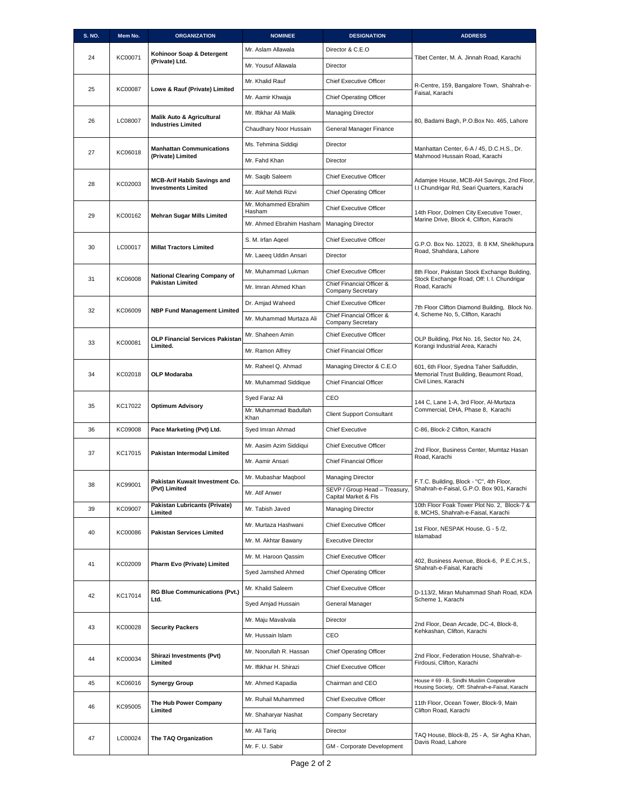| <b>S. NO.</b> | Mem No. | <b>ORGANIZATION</b>                                             | <b>NOMINEE</b>                     | <b>DESIGNATION</b>                                          | <b>ADDRESS</b>                                                                               |
|---------------|---------|-----------------------------------------------------------------|------------------------------------|-------------------------------------------------------------|----------------------------------------------------------------------------------------------|
|               |         | Kohinoor Soap & Detergent                                       | Mr. Aslam Allawala                 | Director & C.E.O                                            |                                                                                              |
| 24            | KC00071 | (Private) Ltd.                                                  | Mr. Yousuf Allawala                | Director                                                    | Tibet Center, M. A. Jinnah Road, Karachi                                                     |
|               |         |                                                                 | Mr. Khalid Rauf                    | <b>Chief Executive Officer</b>                              | R-Centre, 159, Bangalore Town, Shahrah-e-                                                    |
| 25            | KC00087 | Lowe & Rauf (Private) Limited                                   | Mr. Aamir Khwaja                   | <b>Chief Operating Officer</b>                              | Faisal, Karachi                                                                              |
|               |         | <b>Malik Auto &amp; Agricultural</b>                            | Mr. Iftikhar Ali Malik             | <b>Managing Director</b>                                    |                                                                                              |
| 26            | LC08007 | <b>Industries Limited</b>                                       | Chaudhary Noor Hussain             | General Manager Finance                                     | 80, Badami Bagh, P.O.Box No. 465, Lahore                                                     |
|               |         |                                                                 | Ms. Tehmina Siddiqi                | Director                                                    |                                                                                              |
| 27            | KC06018 | <b>Manhattan Communications</b><br>(Private) Limited            | Mr. Fahd Khan                      | Director                                                    | Manhattan Center, 6-A / 45, D.C.H.S., Dr.<br>Mahmood Hussain Road, Karachi                   |
|               |         |                                                                 | Mr. Saqib Saleem                   | <b>Chief Executive Officer</b>                              |                                                                                              |
| 28            | KC02003 | <b>MCB-Arif Habib Savings and</b><br><b>Investments Limited</b> | Mr. Asif Mehdi Rizvi               | <b>Chief Operating Officer</b>                              | Adamjee House, MCB-AH Savings, 2nd Floor,<br>I.I Chundrigar Rd, Seari Quarters, Karachi      |
|               |         |                                                                 | Mr. Mohammed Ebrahim               | <b>Chief Executive Officer</b>                              |                                                                                              |
| 29            | KC00162 | <b>Mehran Sugar Mills Limited</b>                               | Hasham<br>Mr. Ahmed Ebrahim Hasham | <b>Managing Director</b>                                    | 14th Floor, Dolmen City Executive Tower,<br>Marine Drive, Block 4, Clifton, Karachi          |
|               |         |                                                                 | S. M. Irfan Aqeel                  | Chief Executive Officer                                     |                                                                                              |
| 30            | LC00017 | <b>Millat Tractors Limited</b>                                  |                                    |                                                             | G.P.O. Box No. 12023, 8.8 KM, Sheikhupura<br>Road, Shahdara, Lahore                          |
|               |         |                                                                 | Mr. Laeeg Uddin Ansari             | Director                                                    |                                                                                              |
| 31            | KC06008 | <b>National Clearing Company of</b><br><b>Pakistan Limited</b>  | Mr. Muhammad Lukman                | <b>Chief Executive Officer</b><br>Chief Financial Officer & | 8th Floor, Pakistan Stock Exchange Building,<br>Stock Exchange Road, Off: I. I. Chundrigar   |
|               |         |                                                                 | Mr. Imran Ahmed Khan               | <b>Company Secretary</b>                                    | Road, Karachi                                                                                |
| 32            | KC06009 | <b>NBP Fund Management Limited</b>                              | Dr. Amjad Waheed                   | <b>Chief Executive Officer</b><br>Chief Financial Officer & | 7th Floor Clifton Diamond Building, Block No.<br>4, Scheme No, 5, Clifton, Karachi           |
|               |         |                                                                 | Mr. Muhammad Murtaza Ali           | <b>Company Secretary</b>                                    |                                                                                              |
| 33            | KC00081 | <b>OLP Financial Services Pakistan</b>                          | Mr. Shaheen Amin                   | <b>Chief Executive Officer</b>                              | OLP Building, Plot No. 16, Sector No. 24,                                                    |
|               |         | Limited.                                                        | Mr. Ramon Alfrey                   | Chief Financial Officer                                     | Korangi Industrial Area, Karachi                                                             |
| 34            | KC02018 | <b>OLP Modaraba</b>                                             | Mr. Raheel Q. Ahmad                | Managing Director & C.E.O                                   | 601, 6th Floor, Syedna Taher Saifuddin,<br>Memorial Trust Building, Beaumont Road,           |
|               |         | Mr. Muhammad Siddique                                           | <b>Chief Financial Officer</b>     | Civil Lines, Karachi                                        |                                                                                              |
|               |         | KC17022<br><b>Optimum Advisory</b>                              | Syed Faraz Ali                     | CEO                                                         | 144 C, Lane 1-A, 3rd Floor, Al-Murtaza<br>Commercial, DHA, Phase 8, Karachi                  |
| 35            |         |                                                                 | Mr. Muhammad Ibadullah<br>Khan     | <b>Client Support Consultant</b>                            |                                                                                              |
| 36            | KC09008 | Pace Marketing (Pvt) Ltd.                                       | Syed Imran Ahmad                   | <b>Chief Executive</b>                                      | C-86, Block-2 Clifton, Karachi                                                               |
|               |         |                                                                 | Mr. Aasim Azim Siddiqui            | Chief Executive Officer                                     | 2nd Floor, Business Center, Mumtaz Hasan                                                     |
| 37            | KC17015 | Pakistan Intermodal Limited                                     | Mr. Aamir Ansari                   | <b>Chief Financial Officer</b>                              | Road, Karachi                                                                                |
|               |         | Pakistan Kuwait Investment Co.                                  | Mr. Mubashar Maqbool               | <b>Managing Director</b>                                    |                                                                                              |
| 38            | KC99001 | (Pvt) Limited                                                   | Mr. Atif Anwer                     | SEVP / Group Head - Treasury,                               | F.T.C. Building, Block - "C", 4th Floor,<br>Shahrah-e-Faisal, G.P.O. Box 901, Karachi        |
| 39            | KC09007 | <b>Pakistan Lubricants (Private)</b>                            | Mr. Tabish Javed                   | Capital Market & Fls<br>Managing Director                   | 10th Floor Foak Tower Plot No. 2, Block-7 &                                                  |
|               |         | Limited                                                         | Mr. Murtaza Hashwani               | <b>Chief Executive Officer</b>                              | 8, MCHS, Shahrah-e-Faisal, Karachi                                                           |
| 40            | KC00086 | <b>Pakistan Services Limited</b>                                | Mr. M. Akhtar Bawany               | <b>Executive Director</b>                                   | 1st Floor, NESPAK House, G - 5 /2,<br>Islamabad                                              |
|               |         |                                                                 | Mr. M. Haroon Qassim               | <b>Chief Executive Officer</b>                              |                                                                                              |
| 41            | KC02009 | Pharm Evo (Private) Limited                                     |                                    |                                                             | 402, Business Avenue, Block-6, P.E.C.H.S.,<br>Shahrah-e-Faisal, Karachi                      |
|               |         |                                                                 | Syed Jamshed Ahmed                 | <b>Chief Operating Officer</b>                              |                                                                                              |
| 42            | KC17014 | <b>RG Blue Communications (Pvt.)</b><br>Ltd.                    | Mr. Khalid Saleem                  | <b>Chief Executive Officer</b>                              | D-113/2, Miran Muhammad Shah Road, KDA<br>Scheme 1, Karachi                                  |
|               |         |                                                                 | Syed Amjad Hussain                 | General Manager                                             |                                                                                              |
| 43            | KC00028 | <b>Security Packers</b>                                         | Mr. Maju Mavalvala                 | Director                                                    | 2nd Floor, Dean Arcade, DC-4, Block-8,<br>Kehkashan, Clifton, Karachi                        |
|               |         |                                                                 | Mr. Hussain Islam                  | CEO                                                         |                                                                                              |
| 44            | KC00034 | Shirazi Investments (Pvt)<br>Limited                            | Mr. Noorullah R. Hassan            | <b>Chief Operating Officer</b>                              | 2nd Floor, Federation House, Shahrah-e-                                                      |
|               |         |                                                                 | Mr. Iftikhar H. Shirazi            | <b>Chief Executive Officer</b>                              | Firdousi, Clifton, Karachi                                                                   |
| 45            | KC06016 | Synergy Group                                                   | Mr. Ahmed Kapadia                  | Chairman and CEO                                            | House # 69 - B, Sindhi Muslim Cooperative<br>Housing Society, Off: Shahrah-e-Faisal, Karachi |
| 46            | KC95005 | The Hub Power Company                                           | Mr. Ruhail Muhammed                | <b>Chief Executive Officer</b>                              | 11th Floor, Ocean Tower, Block-9, Main                                                       |
|               |         | Limited                                                         | Mr. Shaharyar Nashat               | Company Secretary                                           | Clifton Road, Karachi                                                                        |
| 47            | LC00024 |                                                                 | Mr. Ali Tariq                      | Director                                                    | TAQ House, Block-B, 25 - A, Sir Agha Khan,                                                   |
|               |         | The TAQ Organization                                            | Mr. F. U. Sabir                    | GM - Corporate Development                                  | Davis Road, Lahore                                                                           |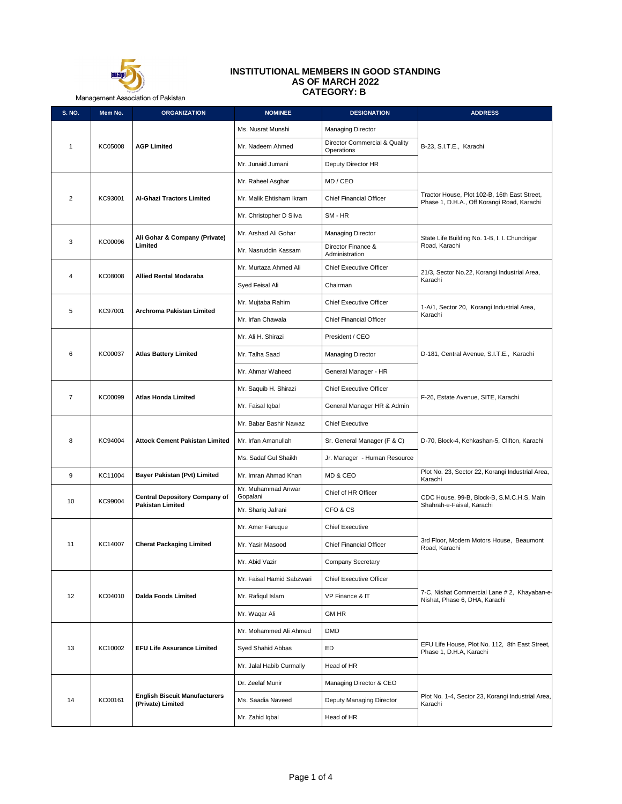

## **INSTITUTIONAL MEMBERS IN GOOD STANDING AS OF MARCH 2022 CATEGORY: B**

Management Association of Pakistan

| S. NO.         | Mem No.                        | <b>ORGANIZATION</b>                                       | <b>NOMINEE</b>                 | <b>DESIGNATION</b>                          | <b>ADDRESS</b>                                                                             |
|----------------|--------------------------------|-----------------------------------------------------------|--------------------------------|---------------------------------------------|--------------------------------------------------------------------------------------------|
|                |                                |                                                           | Ms. Nusrat Munshi              | <b>Managing Director</b>                    |                                                                                            |
| $\mathbf{1}$   | KC05008                        | <b>AGP Limited</b>                                        | Mr. Nadeem Ahmed               | Director Commercial & Quality<br>Operations | B-23, S.I.T.E., Karachi                                                                    |
|                |                                |                                                           | Mr. Junaid Jumani              | Deputy Director HR                          |                                                                                            |
|                |                                |                                                           | Mr. Raheel Asghar              | MD / CEO                                    |                                                                                            |
| $\overline{2}$ | KC93001                        | Al-Ghazi Tractors Limited                                 | Mr. Malik Ehtisham Ikram       | <b>Chief Financial Officer</b>              | Tractor House, Plot 102-B, 16th East Street,<br>Phase 1, D.H.A., Off Korangi Road, Karachi |
|                |                                |                                                           | Mr. Christopher D Silva        | SM - HR                                     |                                                                                            |
|                |                                | Ali Gohar & Company (Private)                             | Mr. Arshad Ali Gohar           | <b>Managing Director</b>                    | State Life Building No. 1-B, I. I. Chundrigar                                              |
| 3              | KC00096                        | Limited                                                   | Mr. Nasruddin Kassam           | Director Finance &<br>Administration        | Road, Karachi                                                                              |
| $\overline{4}$ |                                | <b>Allied Rental Modaraba</b>                             | Mr. Murtaza Ahmed Ali          | <b>Chief Executive Officer</b>              | 21/3, Sector No.22, Korangi Industrial Area,                                               |
|                | KC08008                        |                                                           | Syed Feisal Ali                | Chairman                                    | Karachi                                                                                    |
| 5              | KC97001                        | Archroma Pakistan Limited                                 | Mr. Mujtaba Rahim              | <b>Chief Executive Officer</b>              | 1-A/1, Sector 20, Korangi Industrial Area,                                                 |
|                |                                |                                                           | Mr. Irfan Chawala              | <b>Chief Financial Officer</b>              | Karachi                                                                                    |
|                |                                |                                                           | Mr. Ali H. Shirazi             | President / CEO                             |                                                                                            |
| 6              | KC00037                        | <b>Atlas Battery Limited</b>                              | Mr. Talha Saad                 | <b>Managing Director</b>                    | D-181, Central Avenue, S.I.T.E., Karachi                                                   |
|                |                                |                                                           | Mr. Ahmar Waheed               | General Manager - HR                        |                                                                                            |
|                |                                |                                                           | Mr. Saquib H. Shirazi          | <b>Chief Executive Officer</b>              |                                                                                            |
| $\overline{7}$ | Atlas Honda Limited<br>KC00099 | Mr. Faisal Iqbal                                          | General Manager HR & Admin     | F-26, Estate Avenue, SITE, Karachi          |                                                                                            |
|                |                                |                                                           | Mr. Babar Bashir Nawaz         | <b>Chief Executive</b>                      |                                                                                            |
| 8              | KC94004                        | <b>Attock Cement Pakistan Limited</b>                     | Mr. Irfan Amanullah            | Sr. General Manager (F & C)                 | D-70, Block-4, Kehkashan-5, Clifton, Karachi                                               |
|                |                                |                                                           | Ms. Sadaf Gul Shaikh           | Jr. Manager - Human Resource                |                                                                                            |
| 9              | KC11004                        | Bayer Pakistan (Pvt) Limited                              | Mr. Imran Ahmad Khan           | MD & CEO                                    | Plot No. 23, Sector 22, Korangi Industrial Area,<br>Karachi                                |
|                |                                | <b>Central Depository Company of</b>                      | Mr. Muhammad Anwar<br>Gopalani | Chief of HR Officer                         | CDC House, 99-B, Block-B, S.M.C.H.S, Main                                                  |
| 10             | KC99004                        | <b>Pakistan Limited</b>                                   | Mr. Shariq Jafrani             | CFO & CS                                    | Shahrah-e-Faisal, Karachi                                                                  |
|                |                                |                                                           | Mr. Amer Faruque               | <b>Chief Executive</b>                      |                                                                                            |
| 11             | KC14007                        | <b>Cherat Packaging Limited</b>                           | Mr. Yasir Masood               | Chief Financial Officer                     | 3rd Floor, Modern Motors House, Beaumont<br>Road, Karachi                                  |
|                |                                |                                                           | Mr. Abid Vazir                 | Company Secretary                           |                                                                                            |
|                |                                |                                                           | Mr. Faisal Hamid Sabzwari      | Chief Executive Officer                     |                                                                                            |
| 12             | KC04010                        | <b>Dalda Foods Limited</b>                                | Mr. Rafiqul Islam              | VP Finance & IT                             | 7-C, Nishat Commercial Lane # 2, Khayaban-e-<br>Nishat, Phase 6, DHA, Karachi              |
|                |                                |                                                           | Mr. Wagar Ali                  | <b>GM HR</b>                                |                                                                                            |
|                |                                |                                                           | Mr. Mohammed Ali Ahmed         | <b>DMD</b>                                  |                                                                                            |
| 13             | KC10002                        | <b>EFU Life Assurance Limited</b>                         | Syed Shahid Abbas              | ED                                          | EFU Life House, Plot No. 112, 8th East Street,<br>Phase 1, D.H.A, Karachi                  |
|                |                                |                                                           | Mr. Jalal Habib Curmally       | Head of HR                                  |                                                                                            |
|                |                                |                                                           | Dr. Zeelaf Munir               | Managing Director & CEO                     |                                                                                            |
| 14             | KC00161                        | <b>English Biscuit Manufacturers</b><br>(Private) Limited | Ms. Saadia Naveed              | Deputy Managing Director                    | Plot No. 1-4, Sector 23, Korangi Industrial Area,<br>Karachi                               |
|                |                                |                                                           | Mr. Zahid Iqbal                | Head of HR                                  |                                                                                            |
|                |                                |                                                           |                                |                                             |                                                                                            |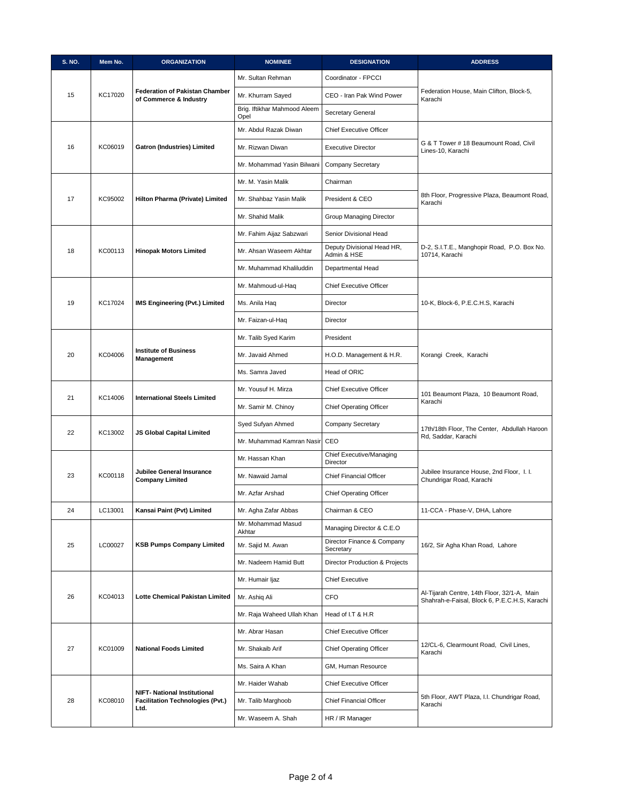| S. NO. | Mem No. | <b>ORGANIZATION</b>                                                            | <b>NOMINEE</b>                       | <b>DESIGNATION</b>                        | <b>ADDRESS</b>                                                                               |
|--------|---------|--------------------------------------------------------------------------------|--------------------------------------|-------------------------------------------|----------------------------------------------------------------------------------------------|
|        |         |                                                                                | Mr. Sultan Rehman                    | Coordinator - FPCCI                       |                                                                                              |
| 15     | KC17020 | <b>Federation of Pakistan Chamber</b><br>of Commerce & Industry                | Mr. Khurram Sayed                    | CEO - Iran Pak Wind Power                 | Federation House, Main Clifton, Block-5,<br>Karachi                                          |
|        |         |                                                                                | Brig. Iftikhar Mahmood Aleem<br>Opel | Secretary General                         |                                                                                              |
|        |         |                                                                                | Mr. Abdul Razak Diwan                | <b>Chief Executive Officer</b>            |                                                                                              |
| 16     | KC06019 | <b>Gatron (Industries) Limited</b>                                             | Mr. Rizwan Diwan                     | <b>Executive Director</b>                 | G & T Tower # 18 Beaumount Road, Civil<br>Lines-10, Karachi                                  |
|        |         |                                                                                | Mr. Mohammad Yasin Bilwani           | Company Secretary                         |                                                                                              |
|        |         |                                                                                | Mr. M. Yasin Malik                   | Chairman                                  |                                                                                              |
| 17     | KC95002 | Hilton Pharma (Private) Limited                                                | Mr. Shahbaz Yasin Malik              | President & CEO                           | 8th Floor, Progressive Plaza, Beaumont Road,<br>Karachi                                      |
|        |         |                                                                                | Mr. Shahid Malik                     | Group Managing Director                   |                                                                                              |
|        |         |                                                                                | Mr. Fahim Aijaz Sabzwari             | Senior Divisional Head                    |                                                                                              |
| 18     | KC00113 | <b>Hinopak Motors Limited</b>                                                  | Mr. Ahsan Waseem Akhtar              | Deputy Divisional Head HR,<br>Admin & HSE | D-2, S.I.T.E., Manghopir Road, P.O. Box No.<br>10714, Karachi                                |
|        |         |                                                                                | Mr. Muhammad Khaliluddin             | Departmental Head                         |                                                                                              |
|        |         |                                                                                | Mr. Mahmoud-ul-Haq                   | <b>Chief Executive Officer</b>            |                                                                                              |
| 19     | KC17024 | IMS Engineering (Pvt.) Limited                                                 | Ms. Anila Haq                        | Director                                  | 10-K, Block-6, P.E.C.H.S, Karachi                                                            |
|        |         |                                                                                | Mr. Faizan-ul-Haq                    | Director                                  |                                                                                              |
|        |         |                                                                                | Mr. Talib Syed Karim                 | President                                 |                                                                                              |
| 20     | KC04006 | <b>Institute of Business</b><br>Management                                     | Mr. Javaid Ahmed                     | H.O.D. Management & H.R.                  | Korangi Creek, Karachi                                                                       |
|        |         |                                                                                | Ms. Samra Javed                      | Head of ORIC                              |                                                                                              |
|        |         | KC14006<br><b>International Steels Limited</b>                                 | Mr. Yousuf H. Mirza                  | <b>Chief Executive Officer</b>            | 101 Beaumont Plaza, 10 Beaumont Road,<br>Karachi                                             |
| 21     |         |                                                                                | Mr. Samir M. Chinoy                  | <b>Chief Operating Officer</b>            |                                                                                              |
| 22     | KC13002 |                                                                                | Syed Sufyan Ahmed                    | <b>Company Secretary</b>                  | 17th/18th Floor, The Center, Abdullah Haroon                                                 |
|        |         | JS Global Capital Limited                                                      | Mr. Muhammad Kamran Nasir            | CEO                                       | Rd, Saddar, Karachi                                                                          |
|        |         |                                                                                | Mr. Hassan Khan                      | Chief Executive/Managing<br>Director      |                                                                                              |
| 23     | KC00118 | Jubilee General Insurance<br><b>Company Limited</b>                            | Mr. Nawaid Jamal                     | <b>Chief Financial Officer</b>            | Jubilee Insurance House, 2nd Floor, I. I.<br>Chundrigar Road, Karachi                        |
|        |         |                                                                                | Mr. Azfar Arshad                     | <b>Chief Operating Officer</b>            |                                                                                              |
| 24     | LC13001 | Kansai Paint (Pvt) Limited                                                     | Mr. Agha Zafar Abbas                 | Chairman & CEO                            | 11-CCA - Phase-V, DHA, Lahore                                                                |
|        |         |                                                                                | Mr. Mohammad Masud<br>Akhtar         | Managing Director & C.E.O                 |                                                                                              |
| 25     | LC00027 | <b>KSB Pumps Company Limited</b>                                               | Mr. Sajid M. Awan                    | Director Finance & Company<br>Secretary   | 16/2, Sir Agha Khan Road, Lahore                                                             |
|        |         |                                                                                | Mr. Nadeem Hamid Butt                | <b>Director Production &amp; Projects</b> |                                                                                              |
|        |         |                                                                                | Mr. Humair ljaz                      | <b>Chief Executive</b>                    |                                                                                              |
| 26     | KC04013 | Lotte Chemical Pakistan Limited                                                | Mr. Ashiq Ali                        | <b>CFO</b>                                | Al-Tijarah Centre, 14th Floor, 32/1-A, Main<br>Shahrah-e-Faisal, Block 6, P.E.C.H.S, Karachi |
|        |         |                                                                                | Mr. Raja Waheed Ullah Khan           | Head of I.T & H.R                         |                                                                                              |
|        |         |                                                                                | Mr. Abrar Hasan                      | <b>Chief Executive Officer</b>            |                                                                                              |
| 27     | KC01009 | <b>National Foods Limited</b>                                                  | Mr. Shakaib Arif                     | <b>Chief Operating Officer</b>            | 12/CL-6, Clearmount Road, Civil Lines,<br>Karachi                                            |
|        |         |                                                                                | Ms. Saira A Khan                     | GM, Human Resource                        |                                                                                              |
|        |         |                                                                                | Mr. Haider Wahab                     | Chief Executive Officer                   |                                                                                              |
| 28     | KC08010 | <b>NIFT- National Institutional</b><br><b>Facilitation Technologies (Pvt.)</b> | Mr. Talib Marghoob                   | Chief Financial Officer                   | 5th Floor, AWT Plaza, I.I. Chundrigar Road,<br>Karachi                                       |
|        |         | Ltd.                                                                           | Mr. Waseem A. Shah                   | HR / IR Manager                           |                                                                                              |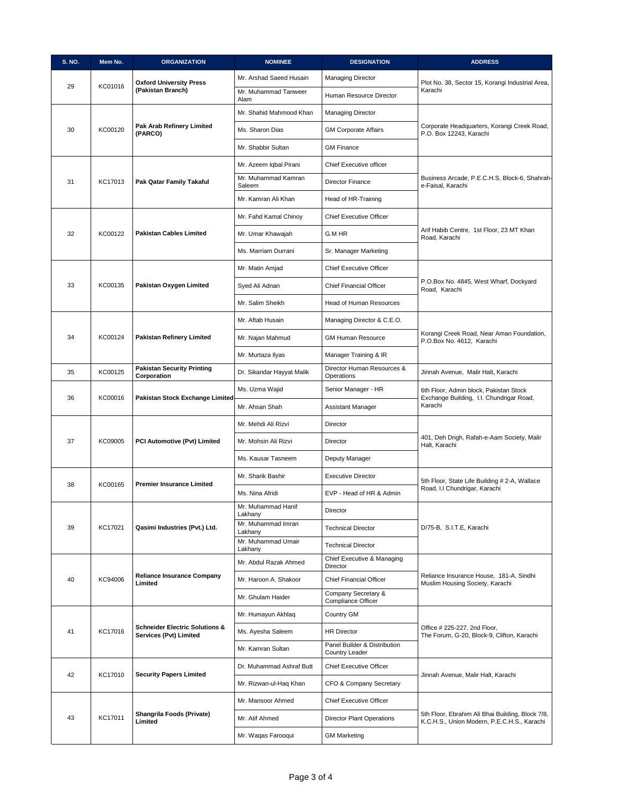| S. NO. | Mem No. | <b>ORGANIZATION</b>                                                 | <b>NOMINEE</b>                | <b>DESIGNATION</b>                             | <b>ADDRESS</b>                                                                                  |
|--------|---------|---------------------------------------------------------------------|-------------------------------|------------------------------------------------|-------------------------------------------------------------------------------------------------|
| 29     | KC01016 | <b>Oxford University Press</b>                                      | Mr. Arshad Saeed Husain       | <b>Managing Director</b>                       | Plot No. 38, Sector 15, Korangi Industrial Area,                                                |
|        |         | (Pakistan Branch)                                                   | Mr. Muhammad Tanweer<br>Alam  | Human Resource Director                        | Karachi                                                                                         |
|        |         |                                                                     | Mr. Shahid Mahmood Khan       | <b>Managing Director</b>                       |                                                                                                 |
| 30     | KC00120 | Pak Arab Refinery Limited<br>(PARCO)                                | Ms. Sharon Dias               | <b>GM Corporate Affairs</b>                    | Corporate Headquarters, Korangi Creek Road,<br>P.O. Box 12243, Karachi                          |
|        |         |                                                                     | Mr. Shabbir Sultan            | <b>GM Finance</b>                              |                                                                                                 |
|        |         |                                                                     | Mr. Azeem Iqbal Pirani        | Chief Executive officer                        |                                                                                                 |
| 31     | KC17013 | Pak Qatar Family Takaful                                            | Mr. Muhammad Kamran<br>Saleem | <b>Director Finance</b>                        | Business Arcade, P.E.C.H.S, Block-6, Shahrah-<br>e-Faisal, Karachi                              |
|        |         |                                                                     | Mr. Kamran Ali Khan           | Head of HR-Training                            |                                                                                                 |
|        |         |                                                                     | Mr. Fahd Kamal Chinoy         | <b>Chief Executive Officer</b>                 |                                                                                                 |
| 32     | KC00122 | <b>Pakistan Cables Limited</b>                                      | Mr. Umar Khawajah             | G.M HR                                         | Arif Habib Centre, 1st Floor, 23 MT Khan<br>Road, Karachi                                       |
|        |         |                                                                     | Ms. Marriam Durrani           | Sr. Manager Marketing                          |                                                                                                 |
|        |         |                                                                     | Mr. Matin Amjad               | Chief Executive Officer                        |                                                                                                 |
| 33     | KC00135 | Pakistan Oxygen Limited                                             | Syed Ali Adnan                | <b>Chief Financial Officer</b>                 | P.O.Box No. 4845, West Wharf, Dockyard<br>Road, Karachi                                         |
|        |         |                                                                     | Mr. Salim Sheikh              | <b>Head of Human Resources</b>                 |                                                                                                 |
|        |         |                                                                     | Mr. Aftab Husain              | Managing Director & C.E.O.                     |                                                                                                 |
| 34     | KC00124 | Pakistan Refinery Limited                                           | Mr. Najan Mahmud              | <b>GM Human Resource</b>                       | Korangi Creek Road, Near Aman Foundation,<br>P.O.Box No. 4612, Karachi                          |
|        |         |                                                                     | Mr. Murtaza Ilyas             | Manager Training & IR                          |                                                                                                 |
| 35     | KC00125 | <b>Pakistan Security Printing</b><br>Corporation                    | Dr. Sikandar Hayyat Malik     | Director Human Resources &<br>Operations       | Jinnah Avenue, Malir Halt, Karachi                                                              |
|        |         |                                                                     | Ms. Uzma Wajid                | Senior Manager - HR                            | 6th Floor, Admin block, Pakistan Stock<br>Exchange Building, I.I. Chundrigar Road,              |
| 36     | KC00016 | Pakistan Stock Exchange Limited                                     | Mr. Ahsan Shah                | Assistant Manager                              | Karachi                                                                                         |
|        |         |                                                                     | Mr. Mehdi Ali Rizvi           | Director                                       |                                                                                                 |
| 37     | KC09005 | PCI Automotive (Pvt) Limited                                        | Mr. Mohsin Ali Rizvi          | Director                                       | 401, Deh Drigh, Rafah-e-Aam Society, Malir<br>Halt, Karachi                                     |
|        |         |                                                                     | Ms. Kausar Tasneem            | Deputy Manager                                 |                                                                                                 |
|        |         | <b>Premier Insurance Limited</b>                                    | Mr. Sharik Bashir             | <b>Executive Director</b>                      | 5th Floor, State Life Building # 2-A, Wallace                                                   |
| 38     | KC00165 |                                                                     | Ms. Nina Afridi               | EVP - Head of HR & Admin                       | Road, I.I Chundrigar, Karachi                                                                   |
|        |         |                                                                     | Mr. Muhammad Hanif<br>Lakhany | Director                                       |                                                                                                 |
| 39     | KC17021 | Qasimi Industries (Pvt.) Ltd.                                       | Mr. Muhammad Imran<br>Lakhany | <b>Technical Director</b>                      | D/75-B, S.I.T.E, Karachi                                                                        |
|        |         |                                                                     | Mr. Muhammad Umair<br>Lakhany | <b>Technical Director</b>                      |                                                                                                 |
|        |         |                                                                     | Mr. Abdul Razak Ahmed         | Chief Executive & Managing<br>Director         |                                                                                                 |
| 40     | KC94006 | <b>Reliance Insurance Company</b><br>Limited                        | Mr. Haroon A. Shakoor         | <b>Chief Financial Officer</b>                 | Reliance Insurance House, 181-A, Sindhi<br>Muslim Housing Society, Karachi                      |
|        |         |                                                                     | Mr. Ghulam Haider             | Company Secretary &<br>Compliance Officer      |                                                                                                 |
|        |         |                                                                     | Mr. Humayun Akhlaq            | Country GM                                     |                                                                                                 |
| 41     | KC17016 | <b>Schneider Electric Solutions &amp;</b><br>Services (Pvt) Limited | Ms. Ayesha Saleem             | <b>HR Director</b>                             | Office # 225-227, 2nd Floor,<br>The Forum, G-20, Block-9, Clifton, Karachi                      |
|        |         |                                                                     | Mr. Kamran Sultan             | Panel Builder & Distribution<br>Country Leader |                                                                                                 |
|        |         |                                                                     | Dr. Muhammad Ashraf Butt      | <b>Chief Executive Officer</b>                 |                                                                                                 |
| 42     | KC17010 | <b>Security Papers Limited</b>                                      | Mr. Rizwan-ul-Haq Khan        | CFO & Company Secretary                        | Jinnah Avenue, Malir Halt, Karachi                                                              |
|        |         |                                                                     | Mr. Mansoor Ahmed             | Chief Executive Officer                        |                                                                                                 |
| 43     | KC17011 | Shangrila Foods (Private)<br>Limited                                | Mr. Atif Ahmed                | <b>Director Plant Operations</b>               | 5th Floor, Ebrahim Ali Bhai Building, Block 7/8,<br>K.C.H.S., Union Modern, P.E.C.H.S., Karachi |
|        |         | Mr. Waqas Farooqui                                                  | <b>GM Marketing</b>           |                                                |                                                                                                 |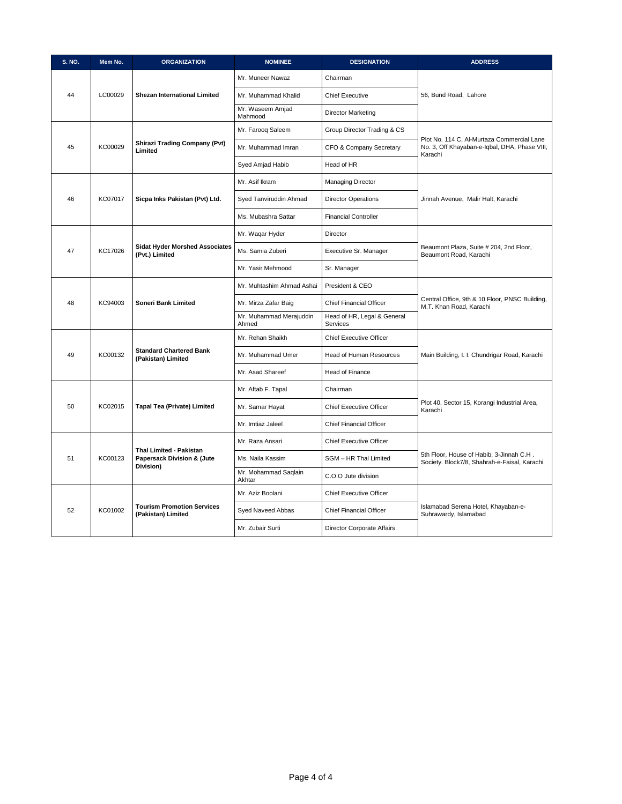| <b>S. NO.</b> | Mem No.                                               | <b>ORGANIZATION</b>                                     | <b>NOMINEE</b>                   | <b>DESIGNATION</b>                                                                       | <b>ADDRESS</b>                                                                                         |
|---------------|-------------------------------------------------------|---------------------------------------------------------|----------------------------------|------------------------------------------------------------------------------------------|--------------------------------------------------------------------------------------------------------|
|               |                                                       |                                                         | Mr. Muneer Nawaz                 | Chairman                                                                                 |                                                                                                        |
| 44            | LC00029                                               | <b>Shezan International Limited</b>                     | Mr. Muhammad Khalid              | <b>Chief Executive</b>                                                                   | 56, Bund Road, Lahore                                                                                  |
|               |                                                       |                                                         | Mr. Waseem Amjad<br>Mahmood      | <b>Director Marketing</b>                                                                |                                                                                                        |
|               |                                                       |                                                         | Mr. Faroog Saleem                | Group Director Trading & CS                                                              |                                                                                                        |
| 45            | KC00029                                               | <b>Shirazi Trading Company (Pvt)</b><br>Limited         | Mr. Muhammad Imran               | CFO & Company Secretary                                                                  | Plot No. 114 C, Al-Murtaza Commercial Lane<br>No. 3, Off Khayaban-e-Iqbal, DHA, Phase VIII,<br>Karachi |
|               |                                                       |                                                         | Syed Amjad Habib                 | Head of HR                                                                               |                                                                                                        |
|               |                                                       |                                                         | Mr. Asif Ikram                   | <b>Managing Director</b>                                                                 |                                                                                                        |
| 46            | KC07017                                               | Sicpa Inks Pakistan (Pvt) Ltd.                          | Syed Tanviruddin Ahmad           | <b>Director Operations</b>                                                               | Jinnah Avenue, Malir Halt, Karachi                                                                     |
|               |                                                       |                                                         | Ms. Mubashra Sattar              | <b>Financial Controller</b>                                                              |                                                                                                        |
|               |                                                       |                                                         | Mr. Waqar Hyder                  | Director                                                                                 |                                                                                                        |
| 47            | KC17026                                               | <b>Sidat Hyder Morshed Associates</b><br>(Pvt.) Limited | Ms. Samia Zuberi                 | Executive Sr. Manager                                                                    | Beaumont Plaza, Suite # 204, 2nd Floor,<br>Beaumont Road, Karachi                                      |
|               |                                                       |                                                         | Mr. Yasir Mehmood                | Sr. Manager                                                                              |                                                                                                        |
|               |                                                       | Mr. Muhtashim Ahmad Ashai                               | President & CEO                  |                                                                                          |                                                                                                        |
| 48            | KC94003                                               | Soneri Bank Limited                                     | Mr. Mirza Zafar Baig             | <b>Chief Financial Officer</b>                                                           | Central Office, 9th & 10 Floor, PNSC Building,<br>M.T. Khan Road, Karachi                              |
|               |                                                       |                                                         | Mr. Muhammad Merajuddin<br>Ahmed | Head of HR, Legal & General<br><b>Services</b>                                           |                                                                                                        |
|               |                                                       |                                                         | Mr. Rehan Shaikh                 | <b>Chief Executive Officer</b>                                                           |                                                                                                        |
| 49            | KC00132                                               | <b>Standard Chartered Bank</b><br>(Pakistan) Limited    | Mr. Muhammad Umer                | Head of Human Resources                                                                  | Main Building, I. I. Chundrigar Road, Karachi                                                          |
|               |                                                       |                                                         | Mr. Asad Shareef                 | <b>Head of Finance</b>                                                                   |                                                                                                        |
|               |                                                       |                                                         | Mr. Aftab F. Tapal               | Chairman                                                                                 |                                                                                                        |
| 50            | KC02015                                               | Tapal Tea (Private) Limited                             | Mr. Samar Hayat                  | <b>Chief Executive Officer</b>                                                           | Plot 40, Sector 15, Korangi Industrial Area,<br>Karachi                                                |
|               |                                                       |                                                         | Mr. Imtiaz Jaleel                | <b>Chief Financial Officer</b>                                                           |                                                                                                        |
|               |                                                       |                                                         | Mr. Raza Ansari                  | <b>Chief Executive Officer</b>                                                           |                                                                                                        |
| KC00123<br>51 | Thal Limited - Pakistan<br>Papersack Division & (Jute | Ms. Naila Kassim                                        | SGM - HR Thal Limited            | 5th Floor, House of Habib, 3-Jinnah C.H.<br>Society. Block7/8, Shahrah-e-Faisal, Karachi |                                                                                                        |
|               |                                                       | Division)                                               | Mr. Mohammad Saqlain<br>Akhtar   | C.O.O Jute division                                                                      |                                                                                                        |
|               |                                                       |                                                         | Mr. Aziz Boolani                 | <b>Chief Executive Officer</b>                                                           |                                                                                                        |
| 52            | KC01002                                               | <b>Tourism Promotion Services</b><br>(Pakistan) Limited | Syed Naveed Abbas                | <b>Chief Financial Officer</b>                                                           | Islamabad Serena Hotel, Khayaban-e-<br>Suhrawardy, Islamabad                                           |
|               |                                                       |                                                         | Mr. Zubair Surti                 | Director Corporate Affairs                                                               |                                                                                                        |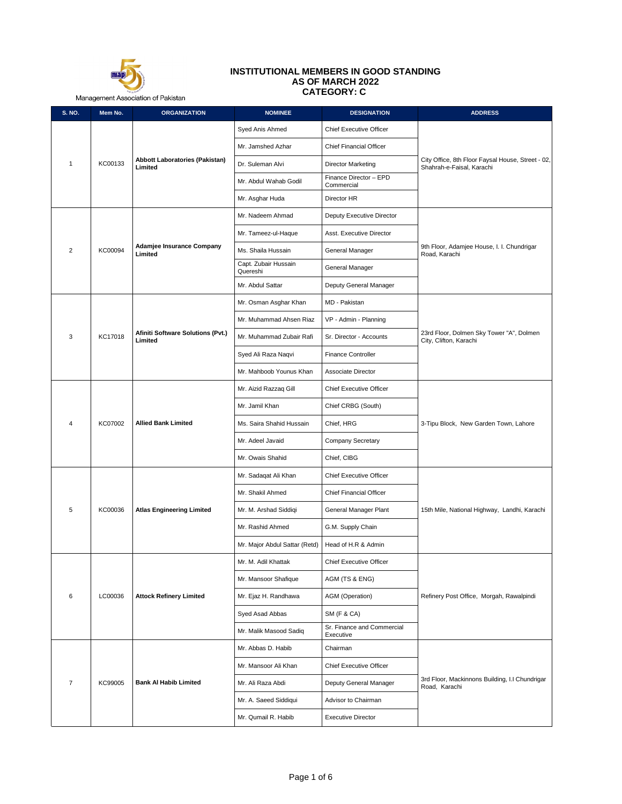

## **INSTITUTIONAL MEMBERS IN GOOD STANDING AS OF MARCH 2022 CATEGORY: C**

Management Association of Pakistan

| S. NO.         | Mem No. | <b>ORGANIZATION</b>                          | <b>NOMINEE</b>                   | <b>DESIGNATION</b>                      | <b>ADDRESS</b>                                                                 |
|----------------|---------|----------------------------------------------|----------------------------------|-----------------------------------------|--------------------------------------------------------------------------------|
|                |         |                                              | Syed Anis Ahmed                  | <b>Chief Executive Officer</b>          |                                                                                |
|                |         |                                              | Mr. Jamshed Azhar                | <b>Chief Financial Officer</b>          |                                                                                |
| $\mathbf{1}$   | KC00133 | Abbott Laboratories (Pakistan)<br>Limited    | Dr. Suleman Alvi                 | <b>Director Marketing</b>               | City Office, 8th Floor Faysal House, Street - 02,<br>Shahrah-e-Faisal, Karachi |
|                |         |                                              | Mr. Abdul Wahab Godil            | Finance Director - EPD<br>Commercial    |                                                                                |
|                |         |                                              | Mr. Asghar Huda                  | Director HR                             |                                                                                |
|                |         |                                              | Mr. Nadeem Ahmad                 | Deputy Executive Director               |                                                                                |
|                |         |                                              | Mr. Tameez-ul-Haque              | Asst. Executive Director                |                                                                                |
| $\overline{2}$ | KC00094 | Adamjee Insurance Company<br>Limited         | Ms. Shaila Hussain               | General Manager                         | 9th Floor, Adamjee House, I. I. Chundrigar<br>Road, Karachi                    |
|                |         |                                              | Capt. Zubair Hussain<br>Quereshi | General Manager                         |                                                                                |
|                |         |                                              | Mr. Abdul Sattar                 | Deputy General Manager                  |                                                                                |
|                |         |                                              | Mr. Osman Asghar Khan            | MD - Pakistan                           |                                                                                |
|                |         |                                              | Mr. Muhammad Ahsen Riaz          | VP - Admin - Planning                   |                                                                                |
| 3              | KC17018 | Afiniti Software Solutions (Pvt.)<br>Limited | Mr. Muhammad Zubair Rafi         | Sr. Director - Accounts                 | 23rd Floor, Dolmen Sky Tower "A", Dolmen<br>City, Clifton, Karachi             |
|                |         |                                              | Syed Ali Raza Naqvi              | <b>Finance Controller</b>               |                                                                                |
|                |         |                                              | Mr. Mahboob Younus Khan          | <b>Associate Director</b>               |                                                                                |
|                |         | <b>Allied Bank Limited</b>                   | Mr. Aizid Razzaq Gill            | <b>Chief Executive Officer</b>          | 3-Tipu Block, New Garden Town, Lahore                                          |
|                |         |                                              | Mr. Jamil Khan                   | Chief CRBG (South)                      |                                                                                |
| 4              | KC07002 |                                              | Ms. Saira Shahid Hussain         | Chief, HRG                              |                                                                                |
|                |         |                                              | Mr. Adeel Javaid                 | Company Secretary                       |                                                                                |
|                |         |                                              | Mr. Owais Shahid                 | Chief, CIBG                             |                                                                                |
|                |         |                                              | Mr. Sadaqat Ali Khan             | <b>Chief Executive Officer</b>          |                                                                                |
|                |         |                                              | Mr. Shakil Ahmed                 | <b>Chief Financial Officer</b>          |                                                                                |
| 5              | KC00036 | <b>Atlas Engineering Limited</b>             | Mr. M. Arshad Siddiqi            | General Manager Plant                   | 15th Mile, National Highway, Landhi, Karachi                                   |
|                |         |                                              | Mr. Rashid Ahmed                 | G.M. Supply Chain                       |                                                                                |
|                |         |                                              | Mr. Major Abdul Sattar (Retd)    | Head of H.R & Admin                     |                                                                                |
|                |         |                                              | Mr. M. Adil Khattak              | <b>Chief Executive Officer</b>          |                                                                                |
|                |         |                                              | Mr. Mansoor Shafique             | AGM (TS & ENG)                          |                                                                                |
| 6              | LC00036 | <b>Attock Refinery Limited</b>               | Mr. Ejaz H. Randhawa             | AGM (Operation)                         | Refinery Post Office, Morgah, Rawalpindi                                       |
|                |         |                                              | Syed Asad Abbas                  | <b>SM (F &amp; CA)</b>                  |                                                                                |
|                |         |                                              | Mr. Malik Masood Sadiq           | Sr. Finance and Commercial<br>Executive |                                                                                |
|                |         |                                              | Mr. Abbas D. Habib               | Chairman                                |                                                                                |
|                |         |                                              | Mr. Mansoor Ali Khan             | Chief Executive Officer                 |                                                                                |
| $\overline{7}$ | KC99005 | <b>Bank Al Habib Limited</b>                 | Mr. Ali Raza Abdi                | Deputy General Manager                  | 3rd Floor, Mackinnons Building, I.I Chundrigar<br>Road, Karachi                |
|                |         |                                              | Mr. A. Saeed Siddiqui            | Advisor to Chairman                     |                                                                                |
|                |         |                                              | Mr. Qumail R. Habib              | <b>Executive Director</b>               |                                                                                |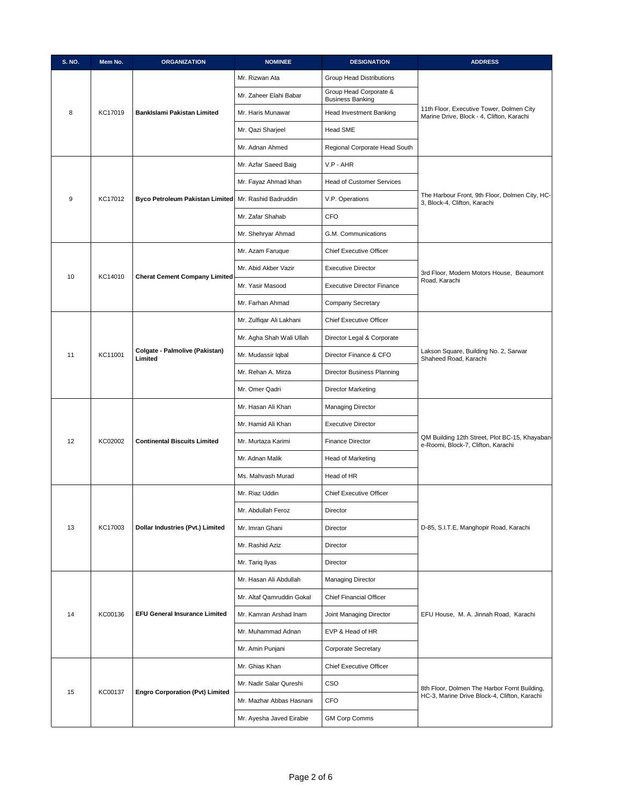| S. NO. | Mem No. | <b>ORGANIZATION</b>                       | <b>NOMINEE</b>                | <b>DESIGNATION</b>                                | <b>ADDRESS</b>                                                                        |
|--------|---------|-------------------------------------------|-------------------------------|---------------------------------------------------|---------------------------------------------------------------------------------------|
|        |         |                                           | Mr. Rizwan Ata                | Group Head Distributions                          |                                                                                       |
|        |         |                                           | Mr. Zaheer Elahi Babar        | Group Head Corporate &<br><b>Business Banking</b> |                                                                                       |
| 8      | KC17019 | BankIslami Pakistan Limited               | Mr. Haris Munawar             | Head Investment Banking                           | 11th Floor, Executive Tower, Dolmen City<br>Marine Drive, Block - 4, Clifton, Karachi |
|        |         |                                           | Mr. Qazi Sharjeel             | Head SME                                          |                                                                                       |
|        |         | Mr. Adnan Ahmed                           | Regional Corporate Head South |                                                   |                                                                                       |
|        |         |                                           | Mr. Azfar Saeed Baig          | V.P - AHR                                         |                                                                                       |
|        |         |                                           | Mr. Fayaz Ahmad khan          | <b>Head of Customer Services</b>                  |                                                                                       |
| 9      | KC17012 | <b>Byco Petroleum Pakistan Limited</b>    | Mr. Rashid Badruddin          | V.P. Operations                                   | The Harbour Front, 9th Floor, Dolmen City, HC-<br>3, Block-4, Clifton, Karachi        |
|        |         |                                           | Mr. Zafar Shahab              | CFO                                               |                                                                                       |
|        |         |                                           | Mr. Shehryar Ahmad            | G.M. Communications                               |                                                                                       |
|        |         |                                           | Mr. Azam Faruque              | <b>Chief Executive Officer</b>                    |                                                                                       |
|        |         |                                           | Mr. Abid Akber Vazir          | <b>Executive Director</b>                         | 3rd Floor, Modern Motors House, Beaumont                                              |
| 10     | KC14010 | <b>Cherat Cement Company Limited</b>      | Mr. Yasir Masood              | <b>Executive Director Finance</b>                 | Road, Karachi                                                                         |
|        |         |                                           | Mr. Farhan Ahmad              | <b>Company Secretary</b>                          |                                                                                       |
|        |         |                                           | Mr. Zulfiqar Ali Lakhani      | <b>Chief Executive Officer</b>                    |                                                                                       |
|        |         |                                           | Mr. Agha Shah Wali Ullah      | Director Legal & Corporate                        |                                                                                       |
| 11     | KC11001 | Colgate - Palmolive (Pakistan)<br>Limited | Mr. Mudassir Iqbal            | Director Finance & CFO                            | Lakson Square, Building No. 2, Sarwar<br>Shaheed Road, Karachi                        |
|        |         |                                           | Mr. Rehan A. Mirza            | Director Business Planning                        |                                                                                       |
|        |         |                                           | Mr. Omer Qadri                | Director Marketing                                |                                                                                       |
|        |         |                                           | Mr. Hasan Ali Khan            | <b>Managing Director</b>                          | QM Building 12th Street, Plot BC-15, Khayaban-<br>e-Roomi, Block-7, Clifton, Karachi  |
|        |         |                                           | Mr. Hamid Ali Khan            | <b>Executive Director</b>                         |                                                                                       |
| 12     | KC02002 | <b>Continental Biscuits Limited</b>       | Mr. Murtaza Karimi            | <b>Finance Director</b>                           |                                                                                       |
|        |         |                                           | Mr. Adnan Malik               | Head of Marketing                                 |                                                                                       |
|        |         |                                           | Ms. Mahvash Murad             | Head of HR                                        |                                                                                       |
|        |         |                                           | Mr. Riaz Uddin                | <b>Chief Executive Officer</b>                    |                                                                                       |
|        |         |                                           | Mr. Abdullah Feroz            | Director                                          |                                                                                       |
| 13     | KC17003 | Dollar Industries (Pvt.) Limited          | Mr. Imran Ghani               | Director                                          | D-85, S.I.T.E, Manghopir Road, Karachi                                                |
|        |         |                                           | Mr. Rashid Aziz               | Director                                          |                                                                                       |
|        |         |                                           | Mr. Tariq Ilyas               | Director                                          |                                                                                       |
|        |         |                                           | Mr. Hasan Ali Abdullah        | <b>Managing Director</b>                          |                                                                                       |
|        |         |                                           | Mr. Altaf Qamruddin Gokal     | Chief Financial Officer                           |                                                                                       |
| 14     | KC00136 | <b>EFU General Insurance Limited</b>      | Mr. Kamran Arshad Inam        | Joint Managing Director                           | EFU House, M. A. Jinnah Road, Karachi                                                 |
|        |         |                                           | Mr. Muhammad Adnan            | EVP & Head of HR                                  |                                                                                       |
|        |         |                                           | Mr. Amin Punjani              | Corporate Secretary                               |                                                                                       |
|        |         |                                           | Mr. Ghias Khan                | Chief Executive Officer                           |                                                                                       |
| 15     | KC00137 | <b>Engro Corporation (Pvt) Limited</b>    | Mr. Nadir Salar Qureshi       | CSO                                               | 8th Floor, Dolmen The Harbor Fornt Building,                                          |
|        |         |                                           | Mr. Mazhar Abbas Hasnani      | <b>CFO</b>                                        | HC-3, Marine Drive Block-4, Clifton, Karachi                                          |
|        |         |                                           | Mr. Ayesha Javed Eirabie      | <b>GM Corp Comms</b>                              |                                                                                       |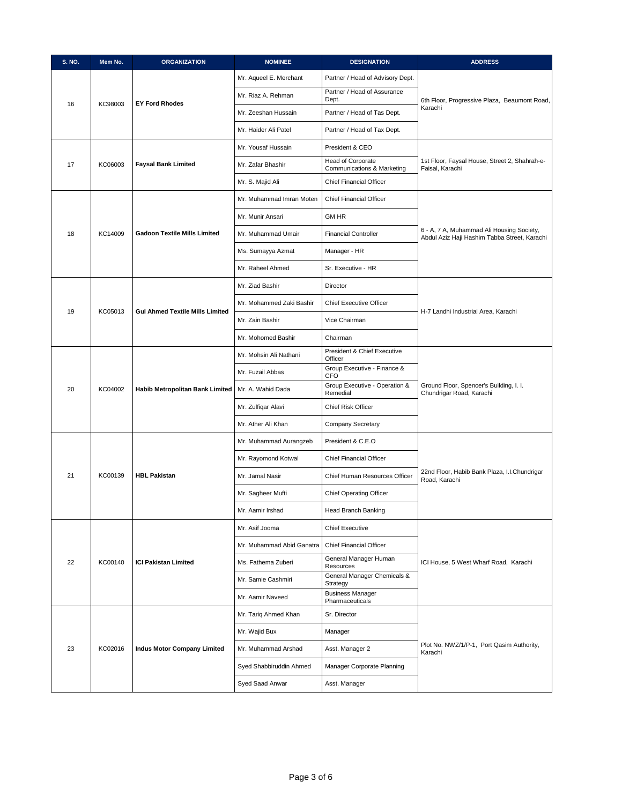| S. NO. | Mem No. | <b>ORGANIZATION</b>                    | <b>NOMINEE</b>            | <b>DESIGNATION</b>                              | <b>ADDRESS</b>                                                                            |
|--------|---------|----------------------------------------|---------------------------|-------------------------------------------------|-------------------------------------------------------------------------------------------|
|        |         |                                        | Mr. Aqueel E. Merchant    | Partner / Head of Advisory Dept.                |                                                                                           |
| 16     | KC98003 | <b>EY Ford Rhodes</b>                  | Mr. Riaz A. Rehman        | Partner / Head of Assurance<br>Dept.            | 6th Floor, Progressive Plaza, Beaumont Road,                                              |
|        |         |                                        | Mr. Zeeshan Hussain       | Partner / Head of Tas Dept.                     | Karachi                                                                                   |
|        |         |                                        | Mr. Haider Ali Patel      | Partner / Head of Tax Dept.                     |                                                                                           |
|        |         |                                        | Mr. Yousaf Hussain        | President & CEO                                 |                                                                                           |
| 17     | KC06003 | <b>Faysal Bank Limited</b>             | Mr. Zafar Bhashir         | Head of Corporate<br>Communications & Marketing | 1st Floor, Faysal House, Street 2, Shahrah-e-<br>Faisal, Karachi                          |
|        |         |                                        | Mr. S. Majid Ali          | <b>Chief Financial Officer</b>                  |                                                                                           |
|        |         |                                        | Mr. Muhammad Imran Moten  | <b>Chief Financial Officer</b>                  |                                                                                           |
|        |         |                                        | Mr. Munir Ansari          | <b>GM HR</b>                                    |                                                                                           |
| 18     | KC14009 | <b>Gadoon Textile Mills Limited</b>    | Mr. Muhammad Umair        | <b>Financial Controller</b>                     | 6 - A, 7 A, Muhammad Ali Housing Society,<br>Abdul Aziz Haji Hashim Tabba Street, Karachi |
|        |         |                                        | Ms. Sumayya Azmat         | Manager - HR                                    |                                                                                           |
|        |         |                                        | Mr. Raheel Ahmed          | Sr. Executive - HR                              |                                                                                           |
|        |         |                                        | Mr. Ziad Bashir           | Director                                        |                                                                                           |
|        |         |                                        | Mr. Mohammed Zaki Bashir  | <b>Chief Executive Officer</b>                  |                                                                                           |
| 19     | KC05013 | <b>Gul Ahmed Textile Mills Limited</b> | Mr. Zain Bashir           | Vice Chairman                                   | H-7 Landhi Industrial Area, Karachi                                                       |
|        |         |                                        | Mr. Mohomed Bashir        | Chairman                                        |                                                                                           |
|        |         | Habib Metropolitan Bank Limited        | Mr. Mohsin Ali Nathani    | President & Chief Executive<br>Officer          | Ground Floor, Spencer's Building, I. I.<br>Chundrigar Road, Karachi                       |
|        |         |                                        | Mr. Fuzail Abbas          | Group Executive - Finance &<br><b>CFO</b>       |                                                                                           |
| 20     | KC04002 |                                        | Mr. A. Wahid Dada         | Group Executive - Operation &<br>Remedial       |                                                                                           |
|        |         |                                        | Mr. Zulfiqar Alavi        | Chief Risk Officer                              |                                                                                           |
|        |         |                                        | Mr. Ather Ali Khan        | <b>Company Secretary</b>                        |                                                                                           |
|        |         |                                        | Mr. Muhammad Aurangzeb    | President & C.E.O                               |                                                                                           |
|        |         | <b>HBL Pakistan</b>                    | Mr. Rayomond Kotwal       | <b>Chief Financial Officer</b>                  |                                                                                           |
| 21     | KC00139 |                                        | Mr. Jamal Nasir           | Chief Human Resources Officer                   | 22nd Floor, Habib Bank Plaza, I.I.Chundrigar<br>Road, Karachi                             |
|        |         |                                        | Mr. Sagheer Mufti         | <b>Chief Operating Officer</b>                  |                                                                                           |
|        |         |                                        | Mr. Aamir Irshad          | Head Branch Banking                             |                                                                                           |
|        |         |                                        | Mr. Asif Jooma            | <b>Chief Executive</b>                          |                                                                                           |
|        |         |                                        | Mr. Muhammad Abid Ganatra | <b>Chief Financial Officer</b>                  |                                                                                           |
| 22     | KC00140 | <b>ICI Pakistan Limited</b>            | Ms. Fathema Zuberi        | General Manager Human<br>Resources              | ICI House, 5 West Wharf Road, Karachi                                                     |
|        |         |                                        | Mr. Samie Cashmiri        | General Manager Chemicals &<br>Strategy         |                                                                                           |
|        |         |                                        | Mr. Aamir Naveed          | <b>Business Manager</b><br>Pharmaceuticals      |                                                                                           |
|        |         |                                        | Mr. Tariq Ahmed Khan      | Sr. Director                                    |                                                                                           |
|        |         |                                        | Mr. Wajid Bux             | Manager                                         |                                                                                           |
| 23     | KC02016 | <b>Indus Motor Company Limited</b>     | Mr. Muhammad Arshad       | Asst. Manager 2                                 | Plot No. NWZ/1/P-1, Port Qasim Authority,<br>Karachi                                      |
|        |         |                                        | Syed Shabbiruddin Ahmed   | Manager Corporate Planning                      |                                                                                           |
|        |         |                                        | Syed Saad Anwar           | Asst. Manager                                   |                                                                                           |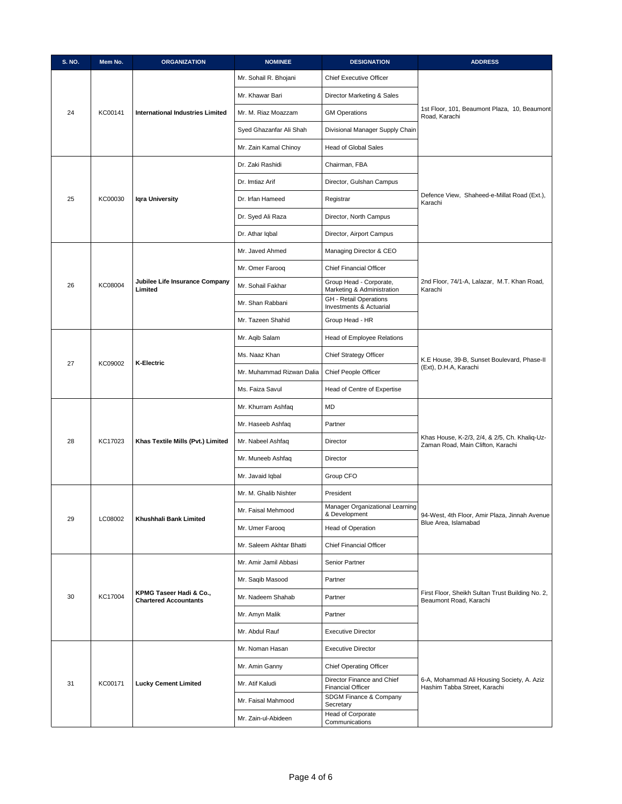| <b>S. NO.</b> | Mem No. | <b>ORGANIZATION</b>                                     | <b>NOMINEE</b>            | <b>DESIGNATION</b>                                       | <b>ADDRESS</b>                                                                     |
|---------------|---------|---------------------------------------------------------|---------------------------|----------------------------------------------------------|------------------------------------------------------------------------------------|
|               |         |                                                         | Mr. Sohail R. Bhojani     | <b>Chief Executive Officer</b>                           |                                                                                    |
|               |         |                                                         | Mr. Khawar Bari           | Director Marketing & Sales                               |                                                                                    |
| 24            | KC00141 | International Industries Limited                        | Mr. M. Riaz Moazzam       | <b>GM Operations</b>                                     | 1st Floor, 101, Beaumont Plaza, 10, Beaumont<br>Road, Karachi                      |
|               |         |                                                         | Syed Ghazanfar Ali Shah   | Divisional Manager Supply Chain                          |                                                                                    |
|               |         |                                                         | Mr. Zain Kamal Chinoy     | Head of Global Sales                                     |                                                                                    |
|               |         |                                                         | Dr. Zaki Rashidi          | Chairman, FBA                                            |                                                                                    |
|               |         |                                                         | Dr. Imtiaz Arif           | Director, Gulshan Campus                                 |                                                                                    |
| 25            | KC00030 | <b>Igra University</b>                                  | Dr. Irfan Hameed          | Registrar                                                | Defence View, Shaheed-e-Millat Road (Ext.),<br>Karachi                             |
|               |         |                                                         | Dr. Syed Ali Raza         | Director, North Campus                                   |                                                                                    |
|               |         |                                                         | Dr. Athar Iqbal           | Director, Airport Campus                                 |                                                                                    |
|               |         |                                                         | Mr. Javed Ahmed           | Managing Director & CEO                                  |                                                                                    |
|               |         |                                                         | Mr. Omer Farooq           | <b>Chief Financial Officer</b>                           |                                                                                    |
| 26            | KC08004 | Jubilee Life Insurance Company<br>Limited               | Mr. Sohail Fakhar         | Group Head - Corporate,<br>Marketing & Administration    | 2nd Floor, 74/1-A, Lalazar, M.T. Khan Road,<br>Karachi                             |
|               |         |                                                         | Mr. Shan Rabbani          | <b>GH</b> - Retail Operations<br>Investments & Actuarial |                                                                                    |
|               |         |                                                         | Mr. Tazeen Shahid         | Group Head - HR                                          |                                                                                    |
|               |         | <b>K-Electric</b>                                       | Mr. Aqib Salam            | Head of Employee Relations                               |                                                                                    |
|               |         |                                                         | Ms. Naaz Khan             | Chief Strategy Officer                                   | K.E House, 39-B, Sunset Boulevard, Phase-II                                        |
| 27            | KC09002 |                                                         | Mr. Muhammad Rizwan Dalia | Chief People Officer                                     | (Ext), D.H.A, Karachi                                                              |
|               |         |                                                         | Ms. Faiza Savul           | Head of Centre of Expertise                              |                                                                                    |
|               |         |                                                         | Mr. Khurram Ashfaq        | MD                                                       | Khas House, K-2/3, 2/4, & 2/5, Ch. Khaliq-Uz-<br>Zaman Road, Main Clifton, Karachi |
|               |         |                                                         | Mr. Haseeb Ashfaq         | Partner                                                  |                                                                                    |
| 28            | KC17023 | Khas Textile Mills (Pvt.) Limited                       | Mr. Nabeel Ashfaq         | Director                                                 |                                                                                    |
|               |         |                                                         | Mr. Muneeb Ashfaq         | Director                                                 |                                                                                    |
|               |         |                                                         | Mr. Javaid Iqbal          | Group CFO                                                |                                                                                    |
|               |         |                                                         | Mr. M. Ghalib Nishter     | President                                                |                                                                                    |
|               |         |                                                         | Mr. Faisal Mehmood        | Manager Organizational Learning<br>& Development         | 94-West, 4th Floor, Amir Plaza, Jinnah Avenue                                      |
| 29            | LC08002 | Khushhali Bank Limited                                  | Mr. Umer Farooq           | Head of Operation                                        | Blue Area, Islamabad                                                               |
|               |         |                                                         | Mr. Saleem Akhtar Bhatti  | <b>Chief Financial Officer</b>                           |                                                                                    |
|               |         |                                                         | Mr. Amir Jamil Abbasi     | Senior Partner                                           |                                                                                    |
|               |         |                                                         | Mr. Saqib Masood          | Partner                                                  |                                                                                    |
| 30            | KC17004 | KPMG Taseer Hadi & Co.,<br><b>Chartered Accountants</b> | Mr. Nadeem Shahab         | Partner                                                  | First Floor, Sheikh Sultan Trust Building No. 2,<br>Beaumont Road, Karachi         |
|               |         |                                                         | Mr. Amyn Malik            | Partner                                                  |                                                                                    |
|               |         |                                                         | Mr. Abdul Rauf            | <b>Executive Director</b>                                |                                                                                    |
|               |         |                                                         | Mr. Noman Hasan           | <b>Executive Director</b>                                |                                                                                    |
|               |         |                                                         | Mr. Amin Ganny            | <b>Chief Operating Officer</b>                           |                                                                                    |
| 31            | KC00171 | <b>Lucky Cement Limited</b>                             | Mr. Atif Kaludi           | Director Finance and Chief<br><b>Financial Officer</b>   | 6-A, Mohammad Ali Housing Society, A. Aziz<br>Hashim Tabba Street, Karachi         |
|               |         |                                                         | Mr. Faisal Mahmood        | SDGM Finance & Company<br>Secretary                      |                                                                                    |
|               |         |                                                         | Mr. Zain-ul-Abideen       | Head of Corporate<br>Communications                      |                                                                                    |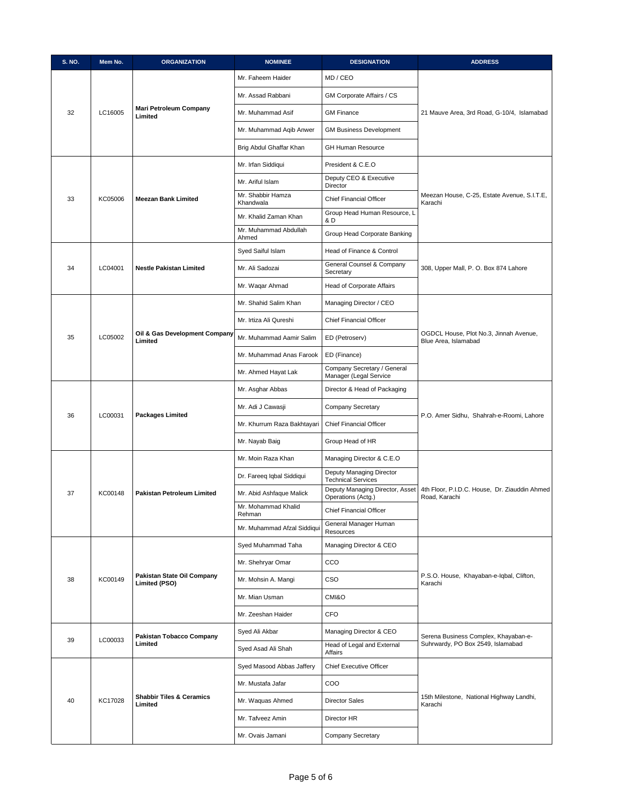| S. NO. | Mem No. | <b>ORGANIZATION</b>                                | <b>NOMINEE</b>                 | <b>DESIGNATION</b>                                    | <b>ADDRESS</b>                                                            |
|--------|---------|----------------------------------------------------|--------------------------------|-------------------------------------------------------|---------------------------------------------------------------------------|
|        |         |                                                    | Mr. Faheem Haider              | MD / CEO                                              |                                                                           |
|        |         |                                                    | Mr. Assad Rabbani              | GM Corporate Affairs / CS                             |                                                                           |
| 32     | LC16005 | <b>Mari Petroleum Company</b><br>Limited           | Mr. Muhammad Asif              | <b>GM Finance</b>                                     | 21 Mauve Area, 3rd Road, G-10/4, Islamabad                                |
|        |         |                                                    | Mr. Muhammad Aqib Anwer        | <b>GM Business Development</b>                        |                                                                           |
|        |         |                                                    | Brig Abdul Ghaffar Khan        | GH Human Resource                                     |                                                                           |
|        |         |                                                    | Mr. Irfan Siddiqui             | President & C.E.O                                     |                                                                           |
|        |         |                                                    | Mr. Ariful Islam               | Deputy CEO & Executive<br>Director                    |                                                                           |
| 33     | KC05006 | <b>Meezan Bank Limited</b>                         | Mr. Shabbir Hamza<br>Khandwala | <b>Chief Financial Officer</b>                        | Meezan House, C-25, Estate Avenue, S.I.T.E,<br>Karachi                    |
|        |         |                                                    | Mr. Khalid Zaman Khan          | Group Head Human Resource, L<br>& D                   |                                                                           |
|        |         |                                                    | Mr. Muhammad Abdullah<br>Ahmed | Group Head Corporate Banking                          |                                                                           |
|        |         |                                                    | Syed Saiful Islam              | Head of Finance & Control                             |                                                                           |
| 34     | LC04001 | <b>Nestle Pakistan Limited</b>                     | Mr. Ali Sadozai                | General Counsel & Company<br>Secretary                | 308, Upper Mall, P. O. Box 874 Lahore                                     |
|        |         |                                                    | Mr. Waqar Ahmad                | Head of Corporate Affairs                             |                                                                           |
|        |         |                                                    | Mr. Shahid Salim Khan          | Managing Director / CEO                               |                                                                           |
|        |         |                                                    | Mr. Irtiza Ali Qureshi         | <b>Chief Financial Officer</b>                        |                                                                           |
| 35     | LC05002 | Oil & Gas Development Company<br>Limited           | Mr. Muhammad Aamir Salim       | ED (Petroserv)                                        | OGDCL House, Plot No.3, Jinnah Avenue,<br>Blue Area, Islamabad            |
|        |         |                                                    | Mr. Muhammad Anas Farook       | ED (Finance)                                          |                                                                           |
|        |         |                                                    | Mr. Ahmed Hayat Lak            | Company Secretary / General<br>Manager (Legal Service |                                                                           |
|        |         |                                                    | Mr. Asghar Abbas               | Director & Head of Packaging                          | P.O. Amer Sidhu, Shahrah-e-Roomi, Lahore                                  |
|        |         | <b>Packages Limited</b>                            | Mr. Adi J Cawasji              | <b>Company Secretary</b>                              |                                                                           |
| 36     | LC00031 |                                                    | Mr. Khurrum Raza Bakhtayari    | <b>Chief Financial Officer</b>                        |                                                                           |
|        |         |                                                    | Mr. Nayab Baig                 | Group Head of HR                                      |                                                                           |
|        |         |                                                    | Mr. Moin Raza Khan             | Managing Director & C.E.O                             |                                                                           |
|        |         |                                                    | Dr. Fareeq Iqbal Siddiqui      | Deputy Managing Director<br><b>Technical Services</b> |                                                                           |
| 37     | KC00148 | Pakistan Petroleum Limited                         | Mr. Abid Ashfaque Malick       | Deputy Managing Director, Asset<br>Operations (Actg.) | 4th Floor, P.I.D.C. House, Dr. Ziauddin Ahmed<br>Road, Karachi            |
|        |         |                                                    | Mr. Mohammad Khalid<br>Rehman  | Chief Financial Officer                               |                                                                           |
|        |         |                                                    | Mr. Muhammad Afzal Siddiqui    | General Manager Human<br>Resources                    |                                                                           |
|        |         |                                                    | Syed Muhammad Taha             | Managing Director & CEO                               |                                                                           |
|        |         |                                                    | Mr. Shehryar Omar              | CCO                                                   |                                                                           |
| 38     | KC00149 | Pakistan State Oil Company<br><b>Limited (PSO)</b> | Mr. Mohsin A. Mangi            | <b>CSO</b>                                            | P.S.O. House, Khayaban-e-Iqbal, Clifton,<br>Karachi                       |
|        |         |                                                    | Mr. Mian Usman                 | CMI&O                                                 |                                                                           |
|        |         |                                                    | Mr. Zeeshan Haider             | CFO                                                   |                                                                           |
|        |         |                                                    | Syed Ali Akbar                 | Managing Director & CEO                               |                                                                           |
| 39     | LC00033 | <b>Pakistan Tobacco Company</b><br>Limited         | Syed Asad Ali Shah             | Head of Legal and External<br>Affairs                 | Serena Business Complex, Khayaban-e-<br>Suhrwardy, PO Box 2549, Islamabad |
|        |         |                                                    | Syed Masood Abbas Jaffery      | Chief Executive Officer                               |                                                                           |
|        |         |                                                    | Mr. Mustafa Jafar              | COO                                                   |                                                                           |
| 40     | KC17028 | <b>Shabbir Tiles &amp; Ceramics</b><br>Limited     | Mr. Waquas Ahmed               | <b>Director Sales</b>                                 | 15th Milestone, National Highway Landhi,<br>Karachi                       |
|        |         |                                                    | Mr. Tafveez Amin               | Director HR                                           |                                                                           |
|        |         |                                                    | Mr. Ovais Jamani               | Company Secretary                                     |                                                                           |
|        |         |                                                    |                                |                                                       |                                                                           |